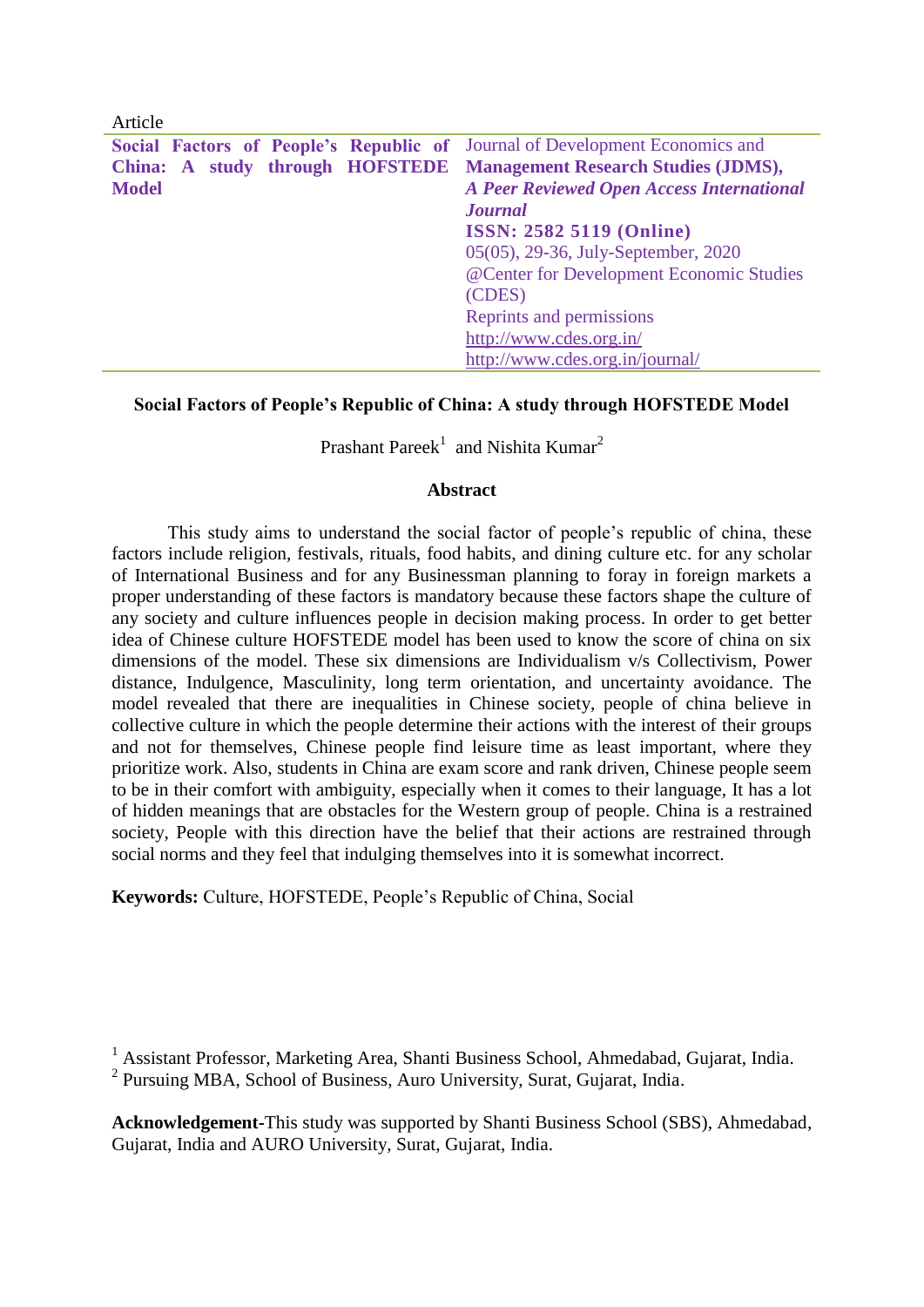| Article                                                                     |                                                  |
|-----------------------------------------------------------------------------|--------------------------------------------------|
| Social Factors of People's Republic of Journal of Development Economics and |                                                  |
| China: A study through HOFSTEDE Management Research Studies (JDMS),         |                                                  |
| <b>Model</b>                                                                | <b>A Peer Reviewed Open Access International</b> |
|                                                                             | <b>Journal</b>                                   |
|                                                                             | <b>ISSN: 2582 5119 (Online)</b>                  |
|                                                                             | 05(05), 29-36, July-September, 2020              |
|                                                                             | @Center for Development Economic Studies         |
|                                                                             | (CDES)                                           |
|                                                                             | Reprints and permissions                         |
|                                                                             | http://www.cdes.org.in/                          |
|                                                                             | http://www.cdes.org.in/journal/                  |

## **Social Factors of People's Republic of China: A study through HOFSTEDE Model**

Prashant Pareek $^1$  and Nishita Kumar<sup>2</sup>

### **Abstract**

This study aims to understand the social factor of people's republic of china, these factors include religion, festivals, rituals, food habits, and dining culture etc. for any scholar of International Business and for any Businessman planning to foray in foreign markets a proper understanding of these factors is mandatory because these factors shape the culture of any society and culture influences people in decision making process. In order to get better idea of Chinese culture HOFSTEDE model has been used to know the score of china on six dimensions of the model. These six dimensions are Individualism v/s Collectivism, Power distance, Indulgence, Masculinity, long term orientation, and uncertainty avoidance. The model revealed that there are inequalities in Chinese society, people of china believe in collective culture in which the people determine their actions with the interest of their groups and not for themselves, Chinese people find leisure time as least important, where they prioritize work. Also, students in China are exam score and rank driven, Chinese people seem to be in their comfort with ambiguity, especially when it comes to their language, It has a lot of hidden meanings that are obstacles for the Western group of people. China is a restrained society, People with this direction have the belief that their actions are restrained through social norms and they feel that indulging themselves into it is somewhat incorrect.

**Keywords:** Culture, HOFSTEDE, People's Republic of China, Social

**Acknowledgement-**This study was supported by Shanti Business School (SBS), Ahmedabad, Gujarat, India and AURO University, Surat, Gujarat, India.

<sup>&</sup>lt;sup>1</sup> Assistant Professor, Marketing Area, Shanti Business School, Ahmedabad, Gujarat, India. <sup>2</sup> Pursuing MBA, School of Business, Auro University, Surat, Gujarat, India.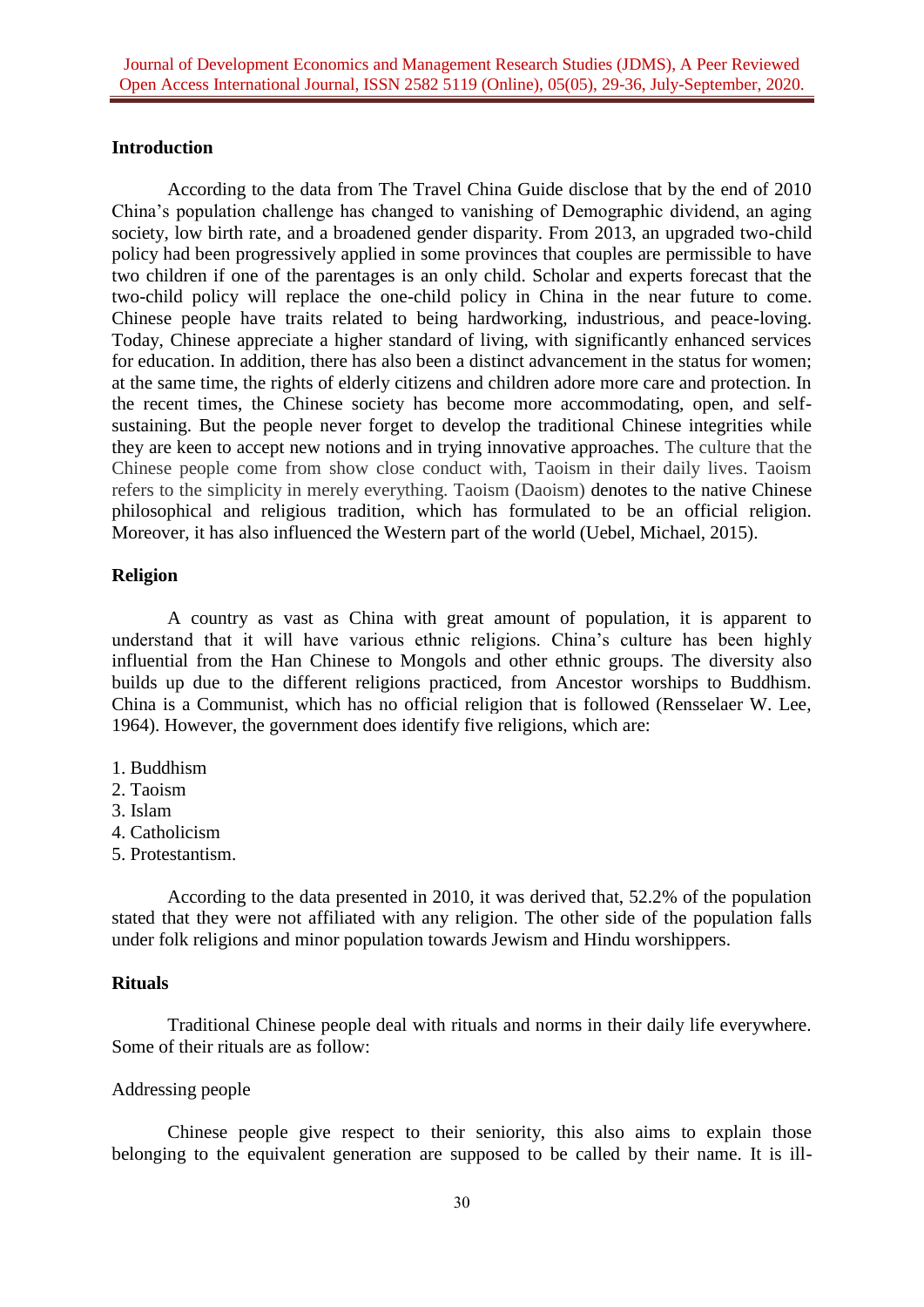### **Introduction**

According to the data from The Travel China Guide disclose that by the end of 2010 China's population challenge has changed to vanishing of Demographic dividend, an aging society, low birth rate, and a broadened gender disparity. From 2013, an upgraded two-child policy had been progressively applied in some provinces that couples are permissible to have two children if one of the parentages is an only child. Scholar and experts forecast that the two-child policy will replace the one-child policy in China in the near future to come. Chinese people have traits related to being hardworking, industrious, and peace-loving. Today, Chinese appreciate a higher standard of living, with significantly enhanced services for education. In addition, there has also been a distinct advancement in the status for women; at the same time, the rights of elderly citizens and children adore more care and protection. In the recent times, the Chinese society has become more accommodating, open, and selfsustaining. But the people never forget to develop the traditional Chinese integrities while they are keen to accept new notions and in trying innovative approaches. The culture that the Chinese people come from show close conduct with, Taoism in their daily lives. Taoism refers to the simplicity in merely everything. Taoism (Daoism) denotes to the native Chinese philosophical and religious tradition, which has formulated to be an official religion. Moreover, it has also influenced the Western part of the world (Uebel, Michael, 2015).

## **Religion**

A country as vast as China with great amount of population, it is apparent to understand that it will have various ethnic religions. China's culture has been highly influential from the Han Chinese to Mongols and other ethnic groups. The diversity also builds up due to the different religions practiced, from Ancestor worships to Buddhism. China is a Communist, which has no official religion that is followed (Rensselaer W. Lee, 1964). However, the government does identify five religions, which are:

- 1. Buddhism
- 2. Taoism
- 3. Islam
- 4. Catholicism
- 5. Protestantism.

According to the data presented in 2010, it was derived that, 52.2% of the population stated that they were not affiliated with any religion. The other side of the population falls under folk religions and minor population towards Jewism and Hindu worshippers.

### **Rituals**

Traditional Chinese people deal with rituals and norms in their daily life everywhere. Some of their rituals are as follow:

#### Addressing people

Chinese people give respect to their seniority, this also aims to explain those belonging to the equivalent generation are supposed to be called by their name. It is ill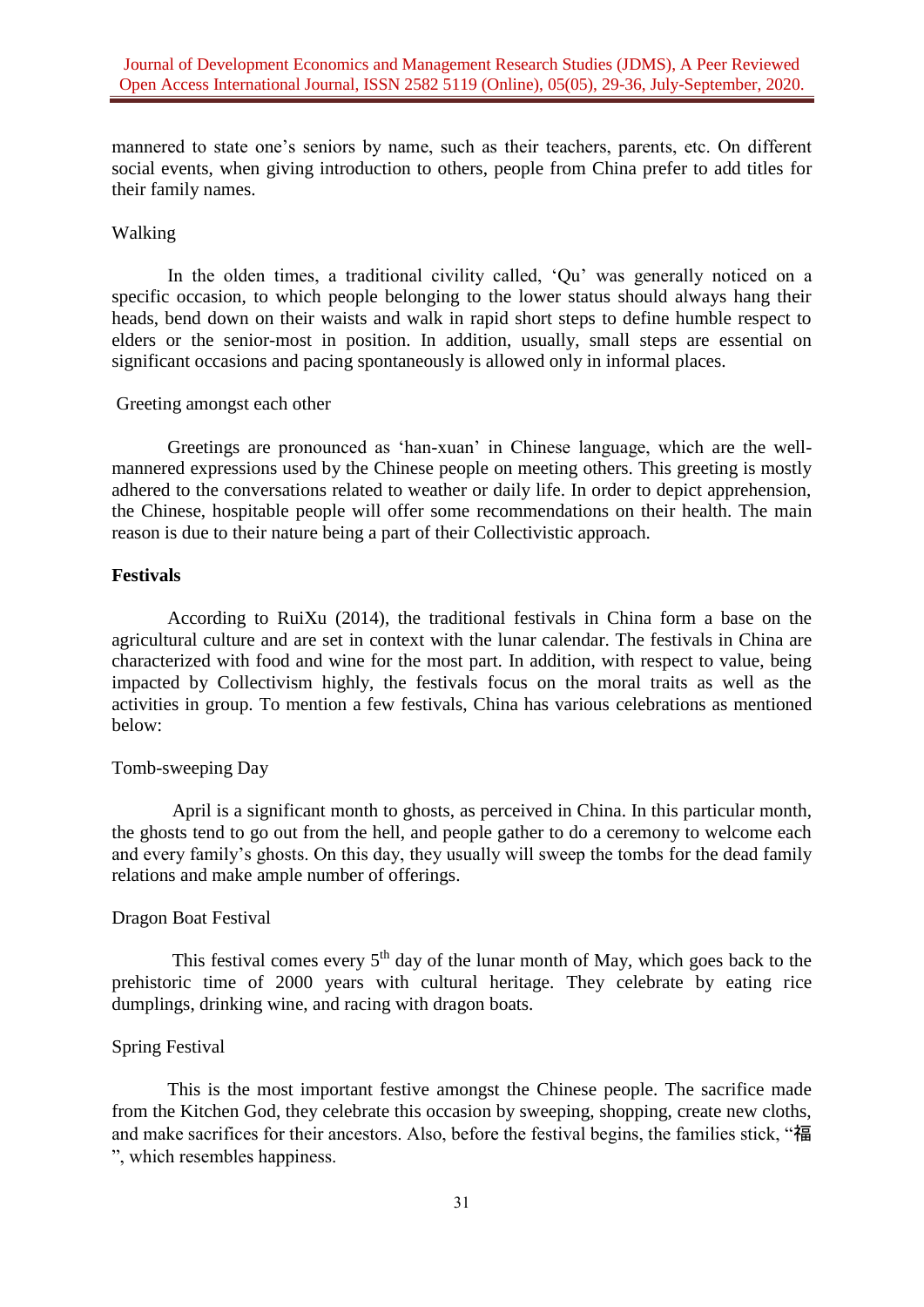mannered to state one's seniors by name, such as their teachers, parents, etc. On different social events, when giving introduction to others, people from China prefer to add titles for their family names.

### Walking

In the olden times, a traditional civility called, 'Qu' was generally noticed on a specific occasion, to which people belonging to the lower status should always hang their heads, bend down on their waists and walk in rapid short steps to define humble respect to elders or the senior-most in position. In addition, usually, small steps are essential on significant occasions and pacing spontaneously is allowed only in informal places.

#### Greeting amongst each other

Greetings are pronounced as 'han-xuan' in Chinese language, which are the wellmannered expressions used by the Chinese people on meeting others. This greeting is mostly adhered to the conversations related to weather or daily life. In order to depict apprehension, the Chinese, hospitable people will offer some recommendations on their health. The main reason is due to their nature being a part of their Collectivistic approach.

#### **Festivals**

According to RuiXu (2014), the traditional festivals in China form a base on the agricultural culture and are set in context with the lunar calendar. The festivals in China are characterized with food and wine for the most part. In addition, with respect to value, being impacted by Collectivism highly, the festivals focus on the moral traits as well as the activities in group. To mention a few festivals, China has various celebrations as mentioned below:

#### Tomb-sweeping Day

April is a significant month to ghosts, as perceived in China. In this particular month, the ghosts tend to go out from the hell, and people gather to do a ceremony to welcome each and every family's ghosts. On this day, they usually will sweep the tombs for the dead family relations and make ample number of offerings.

#### Dragon Boat Festival

This festival comes every  $5<sup>th</sup>$  day of the lunar month of May, which goes back to the prehistoric time of 2000 years with cultural heritage. They celebrate by eating rice dumplings, drinking wine, and racing with dragon boats.

### Spring Festival

This is the most important festive amongst the Chinese people. The sacrifice made from the Kitchen God, they celebrate this occasion by sweeping, shopping, create new cloths, and make sacrifices for their ancestors. Also, before the festival begins, the families stick, "福 ", which resembles happiness.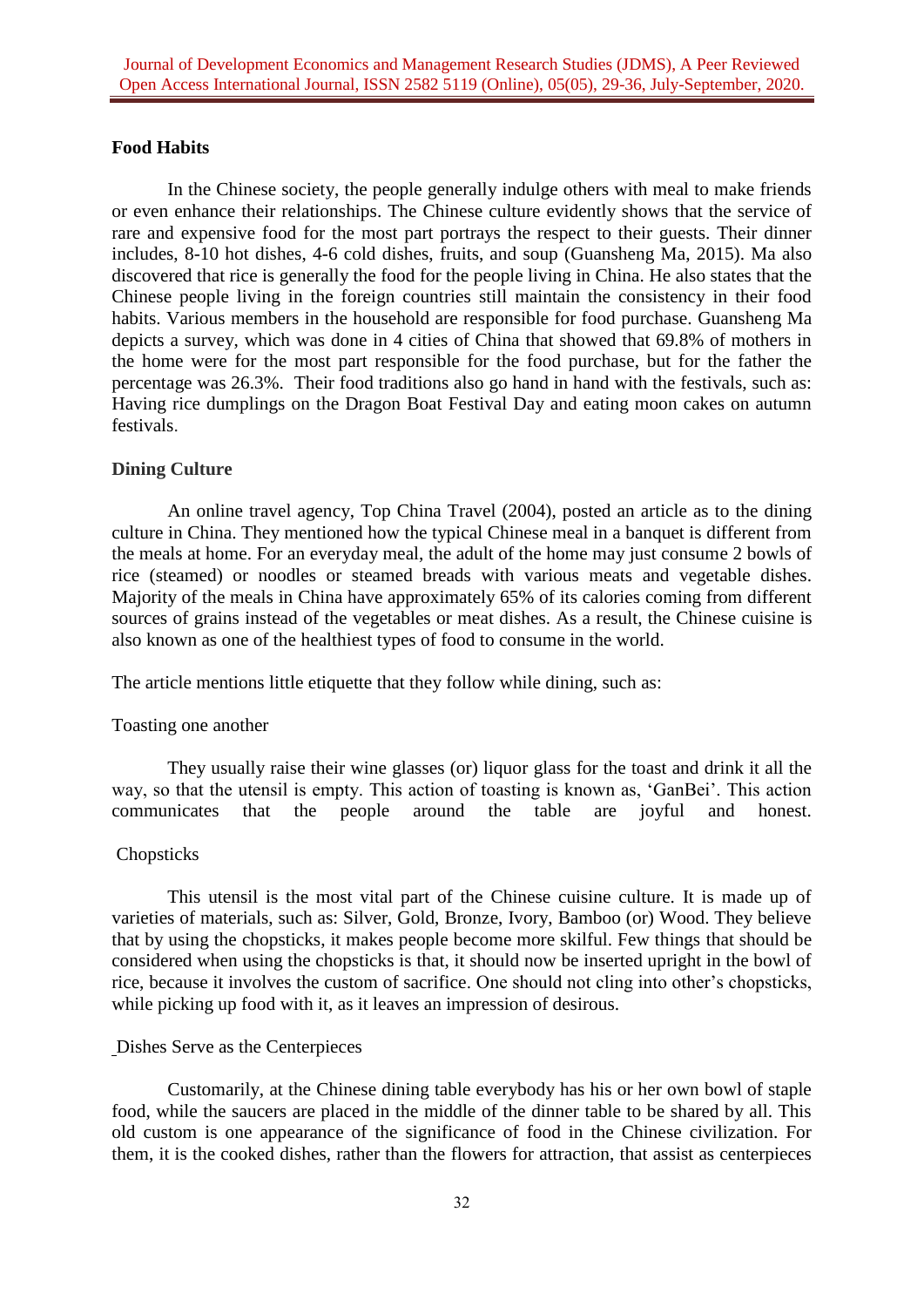## **Food Habits**

In the Chinese society, the people generally indulge others with meal to make friends or even enhance their relationships. The Chinese culture evidently shows that the service of rare and expensive food for the most part portrays the respect to their guests. Their dinner includes, 8-10 hot dishes, 4-6 cold dishes, fruits, and soup [\(Guansheng Ma,](https://www.sciencedirect.com/science/article/pii/S2352618115000657#!) 2015). Ma also discovered that rice is generally the food for the people living in China. He also states that the Chinese people living in the foreign countries still maintain the consistency in their food habits. Various members in the household are responsible for food purchase. [Guansheng Ma](https://www.sciencedirect.com/science/article/pii/S2352618115000657#!) depicts a survey, which was done in 4 cities of China that showed that 69.8% of mothers in the home were for the most part responsible for the food purchase, but for the father the percentage was 26.3%. Their food traditions also go hand in hand with the festivals, such as: Having rice dumplings on the Dragon Boat Festival Day and eating moon cakes on autumn festivals.

### **Dining Culture**

An online travel agency, Top China Travel (2004), posted an article as to the dining culture in China. They mentioned how the typical Chinese meal in a banquet is different from the meals at home. For an everyday meal, the adult of the home may just consume 2 bowls of rice (steamed) or noodles or steamed breads with various meats and vegetable dishes. Majority of the meals in China have approximately 65% of its calories coming from different sources of grains instead of the vegetables or meat dishes. As a result, the Chinese cuisine is also known as one of the healthiest types of food to consume in the world.

The article mentions little etiquette that they follow while dining, such as:

#### Toasting one another

They usually raise their wine glasses (or) liquor glass for the toast and drink it all the way, so that the utensil is empty. This action of toasting is known as, 'GanBei'. This action communicates that the people around the table are joyful and honest.

#### Chopsticks

This utensil is the most vital part of the Chinese cuisine culture. It is made up of varieties of materials, such as: Silver, Gold, Bronze, Ivory, Bamboo (or) Wood. They believe that by using the chopsticks, it makes people become more skilful. Few things that should be considered when using the chopsticks is that, it should now be inserted upright in the bowl of rice, because it involves the custom of sacrifice. One should not cling into other's chopsticks, while picking up food with it, as it leaves an impression of desirous.

#### Dishes Serve as the Centerpieces

Customarily, at the Chinese dining table everybody has his or her own bowl of staple food, while the saucers are placed in the middle of the dinner table to be shared by all. This old custom is one appearance of the significance of food in the Chinese civilization. For them, it is the cooked dishes, rather than the flowers for attraction, that assist as centerpieces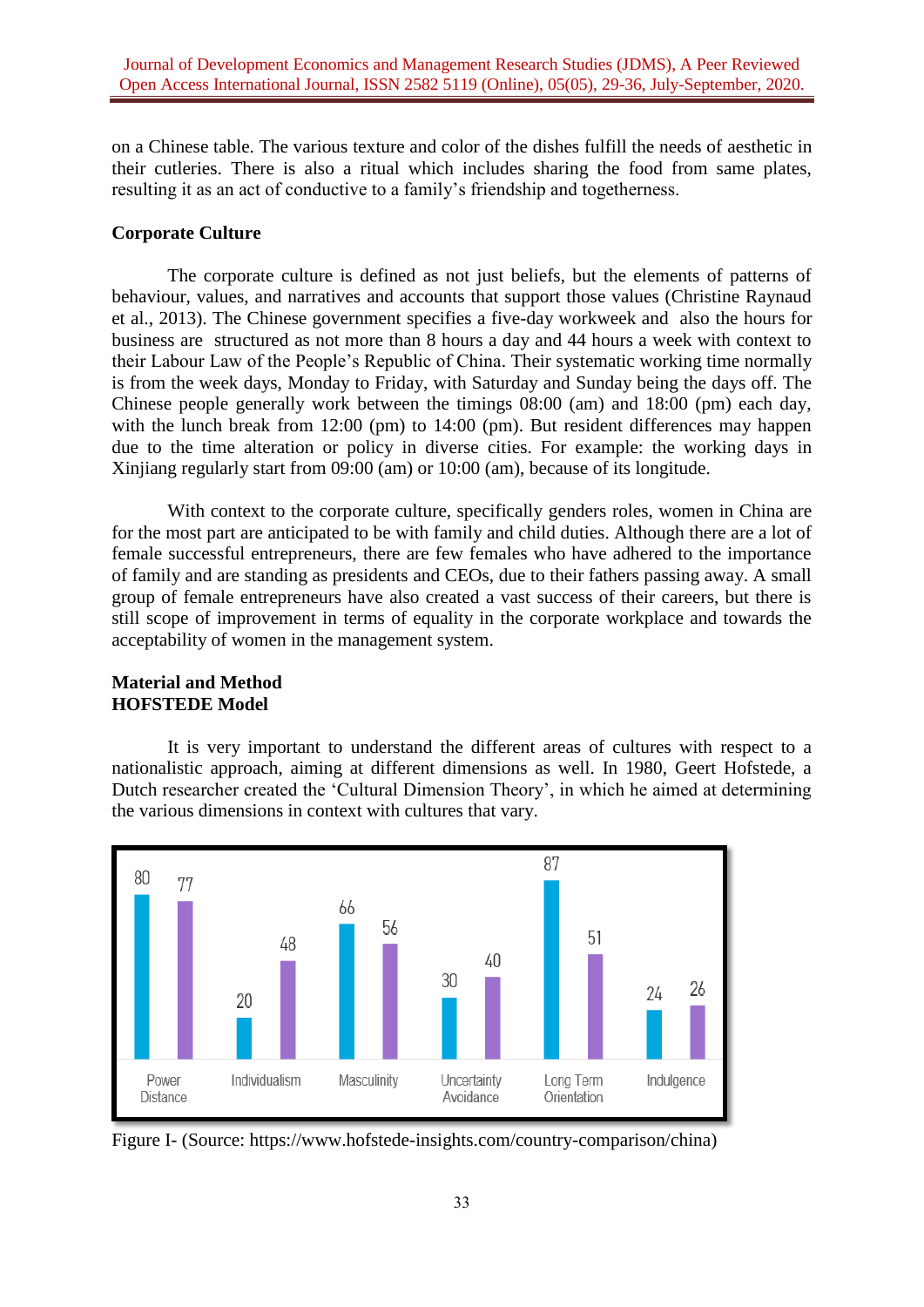on a Chinese table. The various texture and color of the dishes fulfill the needs of aesthetic in their cutleries. There is also a ritual which includes sharing the food from same plates, resulting it as an act of conductive to a family's friendship and togetherness.

### **Corporate Culture**

The corporate culture is defined as not just beliefs, but the elements of patterns of behaviour, values, and narratives and accounts that support those values (Christine Raynaud et al., 2013). The Chinese government specifies a five-day workweek and also the hours for business are structured as not more than 8 hours a day and 44 hours a week with context to their Labour Law of the People's Republic of China. Their systematic working time normally is from the week days, Monday to Friday, with Saturday and Sunday being the days off. The Chinese people generally work between the timings 08:00 (am) and 18:00 (pm) each day, with the lunch break from 12:00 (pm) to 14:00 (pm). But resident differences may happen due to the time alteration or policy in diverse cities. For example: the working days in Xinjiang regularly start from 09:00 (am) or 10:00 (am), because of its longitude.

With context to the corporate culture, specifically genders roles, women in China are for the most part are anticipated to be with family and child duties. Although there are a lot of female successful entrepreneurs, there are few females who have adhered to the importance of family and are standing as presidents and CEOs, due to their fathers passing away. A small group of female entrepreneurs have also created a vast success of their careers, but there is still scope of improvement in terms of equality in the corporate workplace and towards the acceptability of women in the management system.

## **Material and Method HOFSTEDE Model**

It is very important to understand the different areas of cultures with respect to a nationalistic approach, aiming at different dimensions as well. In 1980, Geert Hofstede, a Dutch researcher created the 'Cultural Dimension Theory', in which he aimed at determining the various dimensions in context with cultures that vary.



Figure I- (Source: https://www.hofstede-insights.com/country-comparison/china)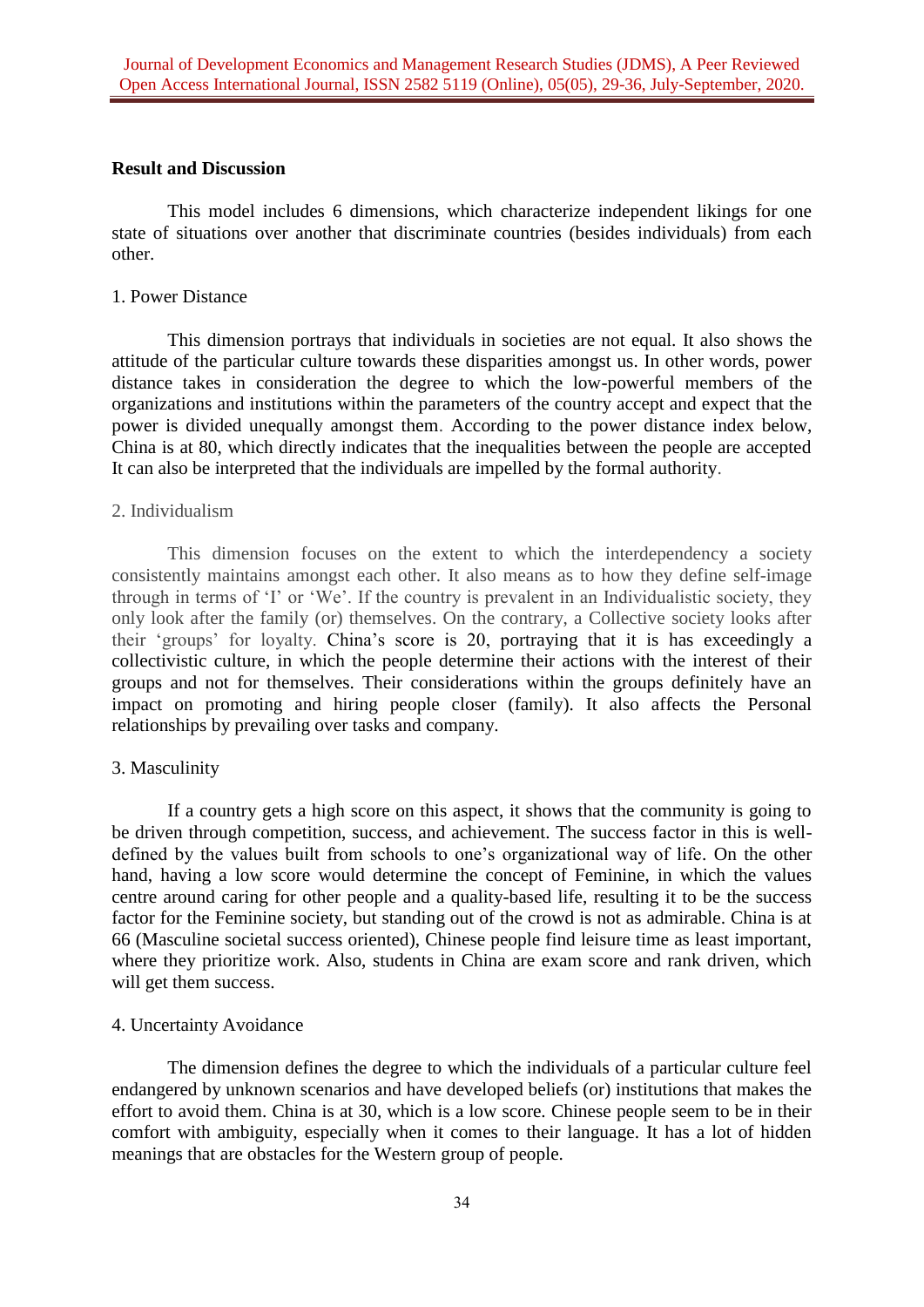### **Result and Discussion**

This model includes 6 dimensions, which characterize independent likings for one state of situations over another that discriminate countries (besides individuals) from each other.

### 1. Power Distance

This dimension portrays that individuals in societies are not equal. It also shows the attitude of the particular culture towards these disparities amongst us. In other words, power distance takes in consideration the degree to which the low-powerful members of the organizations and institutions within the parameters of the country accept and expect that the power is divided unequally amongst them. According to the power distance index below, China is at 80, which directly indicates that the inequalities between the people are accepted It can also be interpreted that the individuals are impelled by the formal authority.

### 2. Individualism

This dimension focuses on the extent to which the interdependency a society consistently maintains amongst each other. It also means as to how they define self-image through in terms of 'I' or 'We'. If the country is prevalent in an Individualistic society, they only look after the family (or) themselves. On the contrary, a Collective society looks after their 'groups' for loyalty. China's score is 20, portraying that it is has exceedingly a collectivistic culture, in which the people determine their actions with the interest of their groups and not for themselves. Their considerations within the groups definitely have an impact on promoting and hiring people closer (family). It also affects the Personal relationships by prevailing over tasks and company.

## 3. Masculinity

If a country gets a high score on this aspect, it shows that the community is going to be driven through competition, success, and achievement. The success factor in this is welldefined by the values built from schools to one's organizational way of life. On the other hand, having a low score would determine the concept of Feminine, in which the values centre around caring for other people and a quality-based life, resulting it to be the success factor for the Feminine society, but standing out of the crowd is not as admirable. China is at 66 (Masculine societal success oriented), Chinese people find leisure time as least important, where they prioritize work. Also, students in China are exam score and rank driven, which will get them success.

## 4. Uncertainty Avoidance

The dimension defines the degree to which the individuals of a particular culture feel endangered by unknown scenarios and have developed beliefs (or) institutions that makes the effort to avoid them. China is at 30, which is a low score. Chinese people seem to be in their comfort with ambiguity, especially when it comes to their language. It has a lot of hidden meanings that are obstacles for the Western group of people.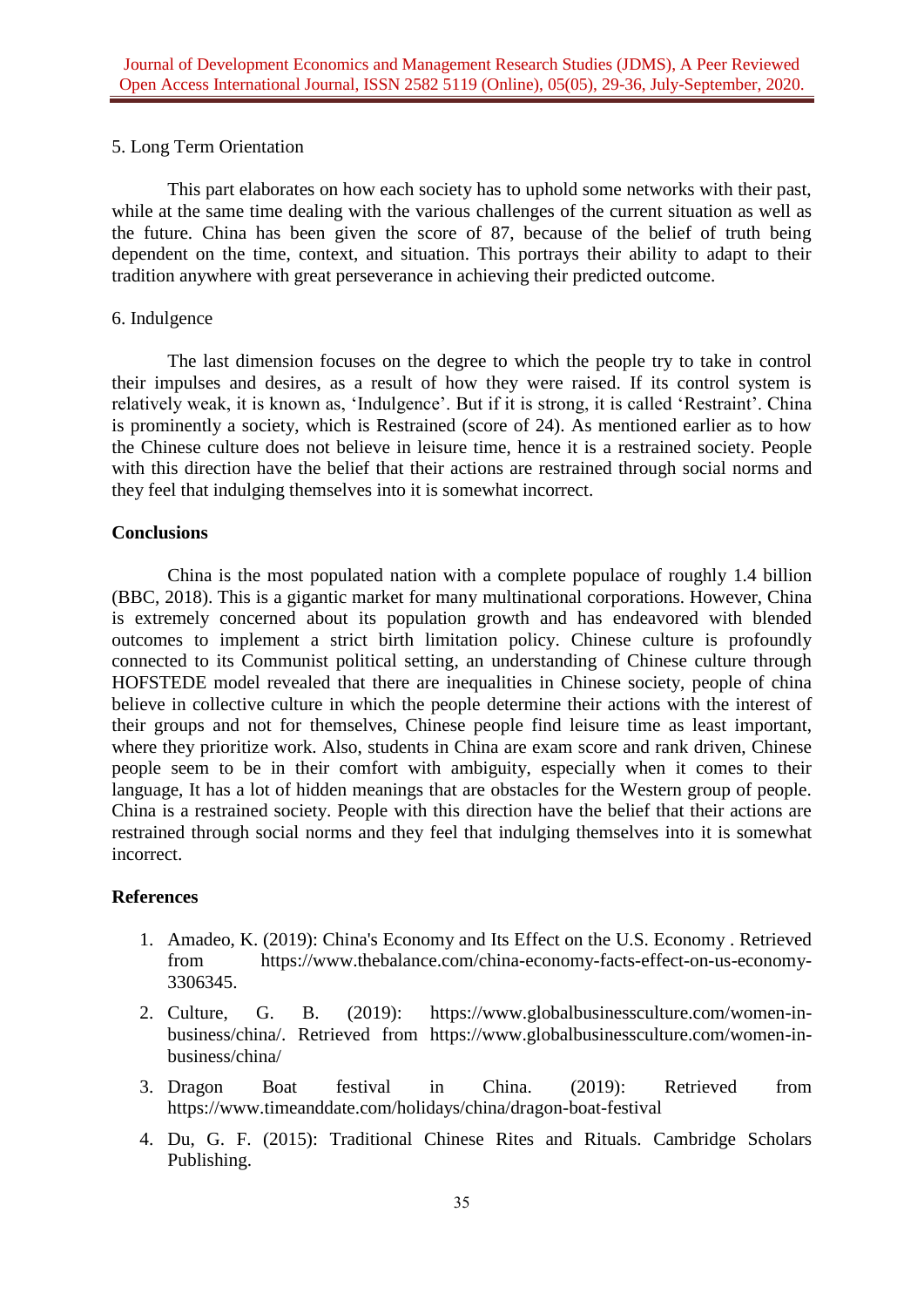## 5. Long Term Orientation

This part elaborates on how each society has to uphold some networks with their past, while at the same time dealing with the various challenges of the current situation as well as the future. China has been given the score of 87, because of the belief of truth being dependent on the time, context, and situation. This portrays their ability to adapt to their tradition anywhere with great perseverance in achieving their predicted outcome.

## 6. Indulgence

The last dimension focuses on the degree to which the people try to take in control their impulses and desires, as a result of how they were raised. If its control system is relatively weak, it is known as, 'Indulgence'. But if it is strong, it is called 'Restraint'. China is prominently a society, which is Restrained (score of 24). As mentioned earlier as to how the Chinese culture does not believe in leisure time, hence it is a restrained society. People with this direction have the belief that their actions are restrained through social norms and they feel that indulging themselves into it is somewhat incorrect.

## **Conclusions**

China is the most populated nation with a complete populace of roughly 1.4 billion (BBC, 2018). This is a gigantic market for many multinational corporations. However, China is extremely concerned about its population growth and has endeavored with blended outcomes to implement a strict birth limitation policy. Chinese culture is profoundly connected to its Communist political setting, an understanding of Chinese culture through HOFSTEDE model revealed that there are inequalities in Chinese society, people of china believe in collective culture in which the people determine their actions with the interest of their groups and not for themselves, Chinese people find leisure time as least important, where they prioritize work. Also, students in China are exam score and rank driven, Chinese people seem to be in their comfort with ambiguity, especially when it comes to their language, It has a lot of hidden meanings that are obstacles for the Western group of people. China is a restrained society. People with this direction have the belief that their actions are restrained through social norms and they feel that indulging themselves into it is somewhat incorrect.

# **References**

- 1. Amadeo, K. (2019): China's Economy and Its Effect on the U.S. Economy . Retrieved from [https://www.thebalance.com/china-economy-facts-effect-on-us-economy-](https://www.thebalance.com/china-economy-facts-effect-on-us-economy-3306345)[3306345.](https://www.thebalance.com/china-economy-facts-effect-on-us-economy-3306345)
- 2. Culture, G. B. (2019): https://www.globalbusinessculture.com/women-inbusiness/china/. Retrieved from https://www.globalbusinessculture.com/women-inbusiness/china/
- 3. Dragon Boat festival in China. (2019): Retrieved from https://www.timeanddate.com/holidays/china/dragon-boat-festival
- 4. Du, G. F. (2015): Traditional Chinese Rites and Rituals. Cambridge Scholars Publishing.